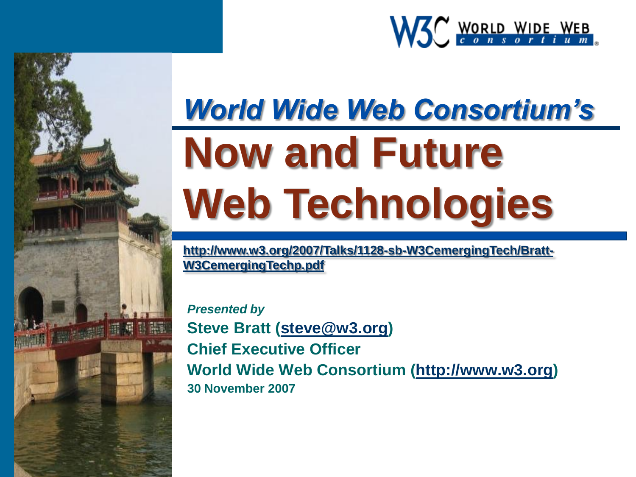

## *World Wide Web Consortium's* **Now and Future Web Technologies**

**[http://www.w3.org/2007/Talks/1128-sb-W3CemergingTech/Bratt-](http://www.w3.org/2007/Talks/1128-sb-W3CemergingTech/Bratt-W3CemergingTechp.pdf)[W3CemergingTechp.pdf](http://www.w3.org/2007/Talks/1128-sb-W3CemergingTech/Bratt-W3CemergingTechp.pdf)**

*Presented by* **Steve Bratt ([steve@w3.org](mailto:steve@w3.org)) Chief Executive Officer World Wide Web Consortium ([http://www.w3.org](http://www.w3.org/)) 30 November 2007**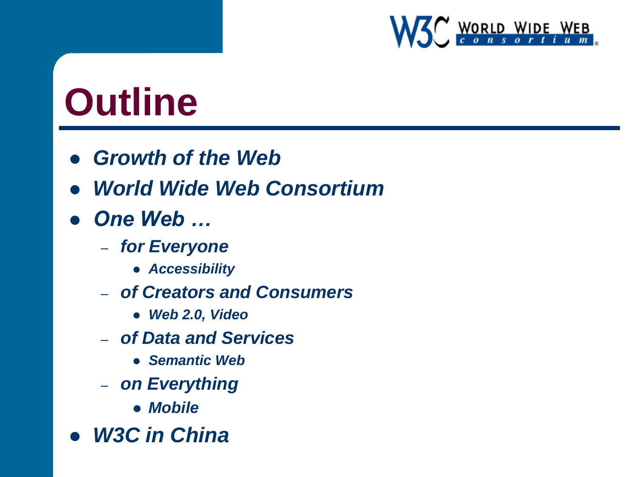

## **Outline**

- *Growth of the Web*
- *World Wide Web Consortium*
- *One Web …*
	- *for Everyone*
		- *Accessibility*
	- *of Creators and Consumers*
		- *Web 2.0, Video*
	- *of Data and Services*
		- *Semantic Web*
	- *on Everything*
		- *Mobile*
- *W3C in China*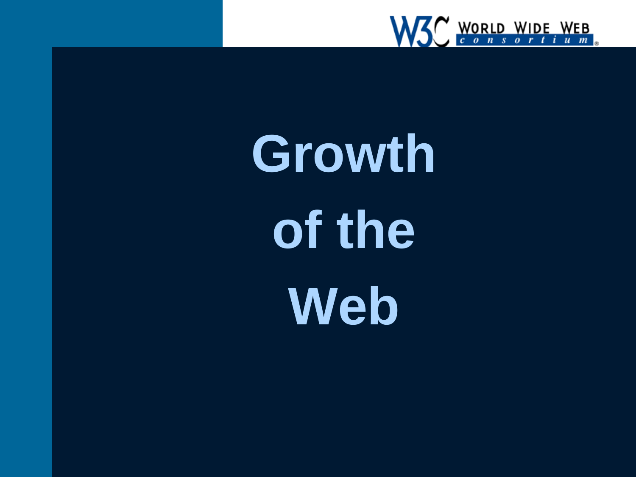

**Growth of the Web**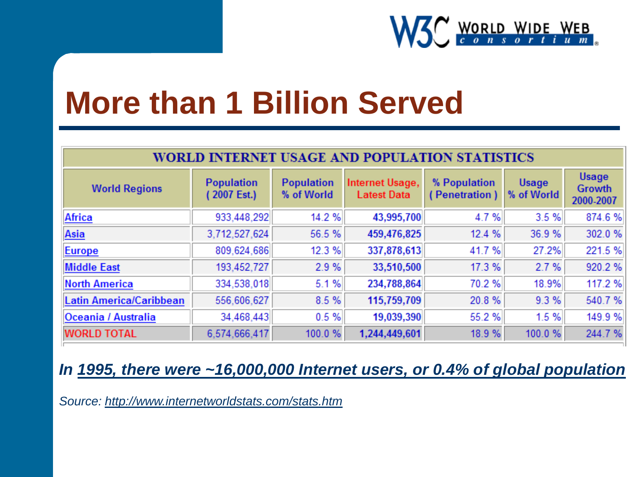

#### **More than 1 Billion Served**

| WORLD INTERNET USAGE AND POPULATION STATISTICS |                                 |                                 |                                       |                               |                     |                                     |
|------------------------------------------------|---------------------------------|---------------------------------|---------------------------------------|-------------------------------|---------------------|-------------------------------------|
| <b>World Regions</b>                           | <b>Population</b><br>2007 Est.) | <b>Population</b><br>% of World | Internet Usage,<br><b>Latest Data</b> | % Population<br>(Penetration) | Usage<br>% of World | Usage<br><b>Growth</b><br>2000-2007 |
| <b>Africa</b>                                  | 933,448,292                     | 14.2%                           | 43,995,700                            | 4.7%                          | 3.5%                | 874.6%                              |
| Asia                                           | 3,712,527,624                   | 56.5%                           | 459,476,825                           | 12.4 %                        | 36.9%               | 302.0%                              |
| <b>Europe</b>                                  | 809,624,686                     | 12.3%                           | 337,878,613                           | 41.7%                         | 27.2%               | 221.5%                              |
| <b>Middle East</b>                             | 193,452,727                     | 2.9%                            | 33,510,500                            | 17.3%                         | 2.7%                | 920.2%                              |
| <b>North America</b>                           | 334,538,018                     | 5.1%                            | 234,788,864                           | 70.2%                         | 18.9%               | 117.2 %                             |
| Latin America/Caribbean                        | 556,606,627                     | 8.5%                            | 115,759,709                           | 20.8%                         | 9.3%                | 540.7%                              |
| Oceania / Australia                            | 34,468,443                      | 0.5%                            | 19,039,390                            | 55.2%                         | 1.5%                | 149.9%                              |
| <b>WORLD TOTAL</b>                             | 6,574,666,417                   | 100.0%                          | 1,244,449,601                         | 18.9%                         | 100.0%              | 244.7%                              |

#### *In [1995, there were ~16,000,000 Internet users, or 0.4% of global population](http://www.internetworldstats.com/emarketing.htm)*

*Source:<http://www.internetworldstats.com/stats.htm>*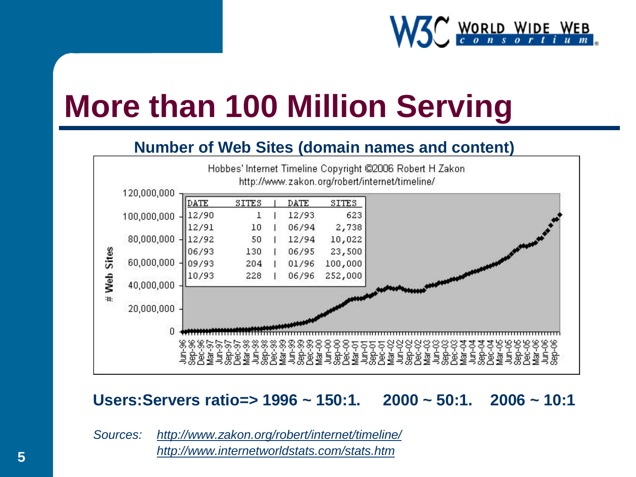

## **More than 100 Million Serving**

#### **Number of Web Sites (domain names and content)**



#### **Users:Servers ratio=> 1996 ~ 150:1. 2000 ~ 50:1. 2006 ~ 10:1**

*Sources: <http://www.zakon.org/robert/internet/timeline/> <http://www.internetworldstats.com/stats.htm>*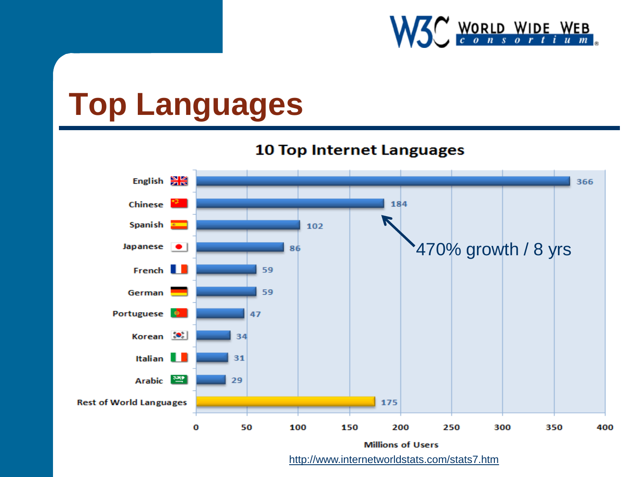

## **Top Languages**



<http://www.internetworldstats.com/stats7.htm>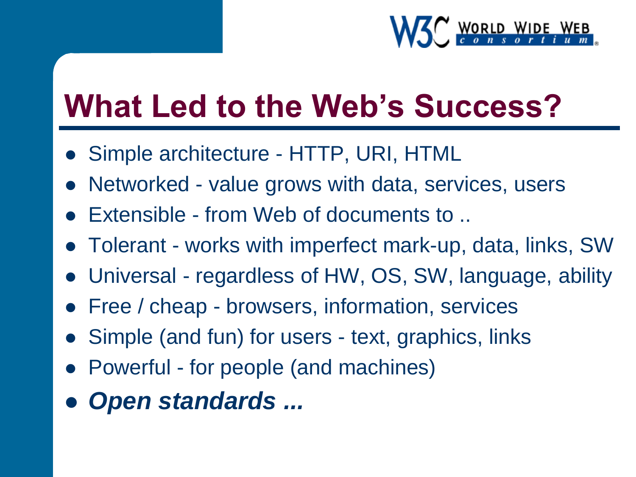

## **What Led to the Web's Success?**

- Simple architecture HTTP, URI, HTML
- Networked value grows with data, services, users
- Extensible from Web of documents to ..
- Tolerant works with imperfect mark-up, data, links, SW
- Universal regardless of HW, OS, SW, language, ability
- Free / cheap browsers, information, services
- Simple (and fun) for users text, graphics, links
- Powerful for people (and machines)
- *Open standards ...*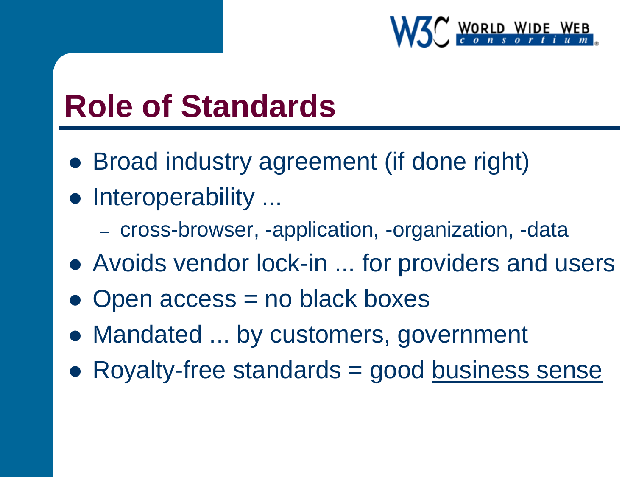

#### **Role of Standards**

- Broad industry agreement (if done right)
- Interoperability ...
	- cross-browser, -application, -organization, -data
- Avoids vendor lock-in ... for providers and users
- Open access = no black boxes
- Mandated ... by customers, government
- Royalty-free standards = good [business sense](http://www.w3.org/2004/03/pp-points-20040210.html)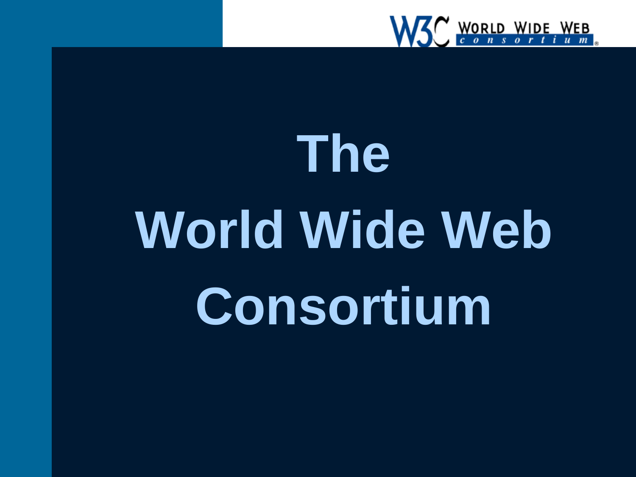

# **The World Wide Web Consortium**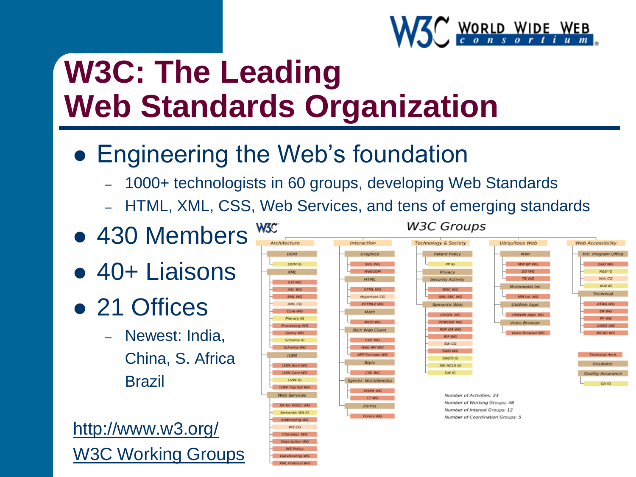

## **W3C: The Leading Web Standards Organization**

- Engineering the Web's foundation
	- 1000+ technologists in 60 groups, developing Web Standards
	- HTML, XML, CSS, Web Services, and tens of emerging standards
- 430 Members
- 40+ Liaisons
- 21 Offices
	- Newest: India, China, S. Africa Brazil

<http://www.w3.org/> [W3C Working Groups](http://www.w3.org/2003/02/W3COrg.png)

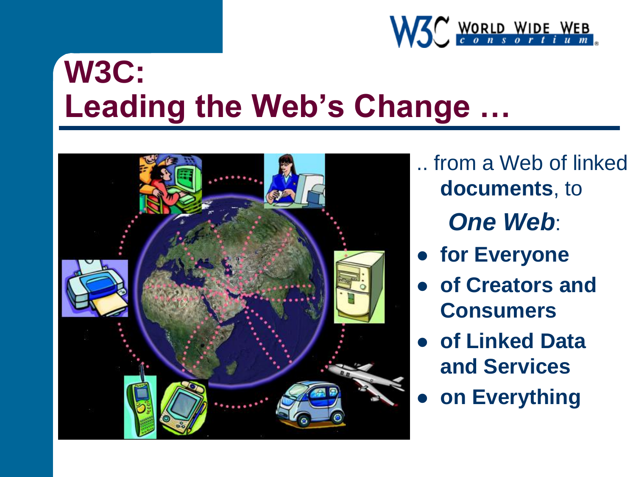

### **W3C: Leading the Web's Change …**



.. from a Web of linked **documents**, to *One Web*:

- **for Everyone**
- **of Creators and Consumers**
- **of Linked Data and Services**
- **on Everything**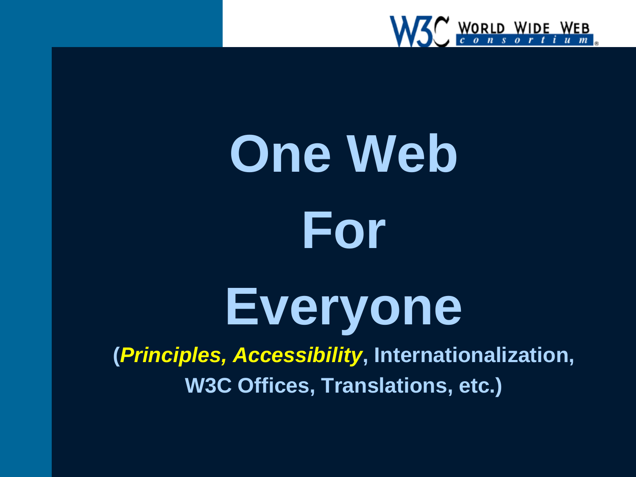

# **One Web For**

## **Everyone**

**(***Principles, Accessibility***, Internationalization, W3C Offices, Translations, etc.)**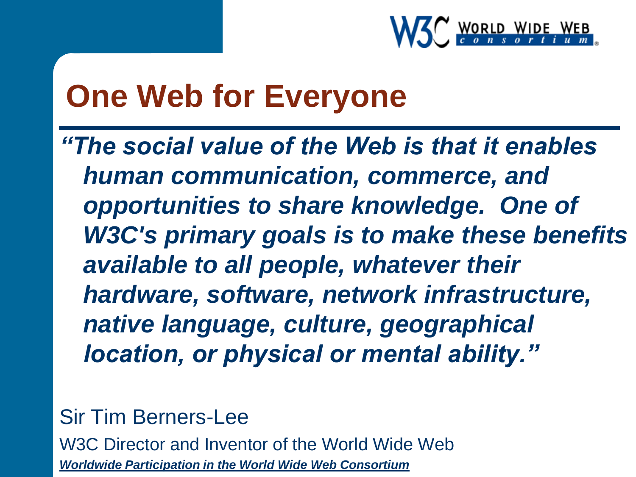

#### **One Web for Everyone**

*"The social value of the Web is that it enables human communication, commerce, and opportunities to share knowledge. One of W3C's primary goals is to make these benefits available to all people, whatever their hardware, software, network infrastructure, native language, culture, geographical location, or physical or mental ability."*

Sir Tim Berners-Lee

W3C Director and Inventor of the World Wide Web *[Worldwide Participation in the World Wide Web Consortium](http://www.w3.org/2005/02/W3C-Global-Focus.html)*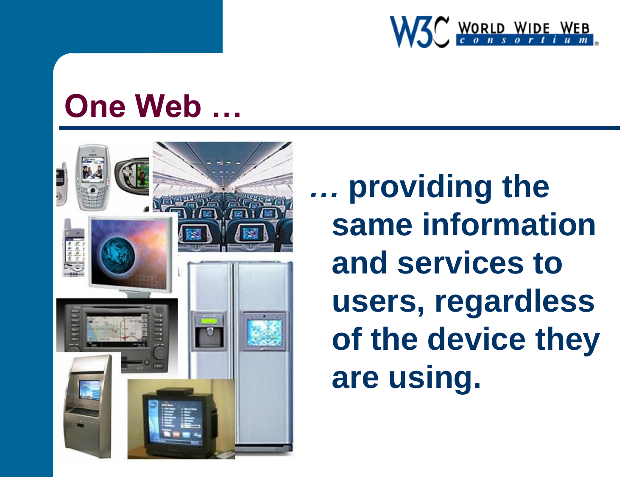

#### **One Web …**



*…* **providing the same information and services to users, regardless of the device they are using.**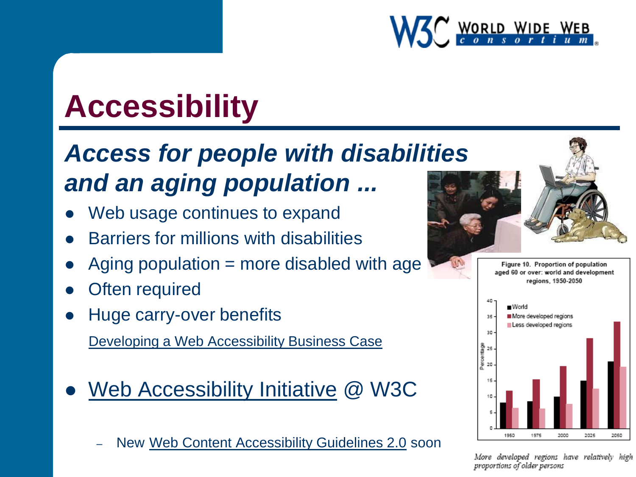

## **Accessibility**

#### *Access for people with disabilities and an aging population ...*

- Web usage continues to expand
- Barriers for millions with disabilities
- Aging population = more disabled with age
- Often required
- Huge carry-over benefits

[Developing a Web Accessibility Business Case](http://www.w3.org/WAI/bcase/Overview.html)

- [Web Accessibility Initiative](http://www.w3.org/WAI/) @ W3C
	- New [Web Content Accessibility Guidelines 2.0](http://www.w3.org/TR/WCAG20/) soon



Figure 10. Proportion of population aged 60 or over: world and development regions, 1950-2050



More developed regions have relatively high proportions of older persons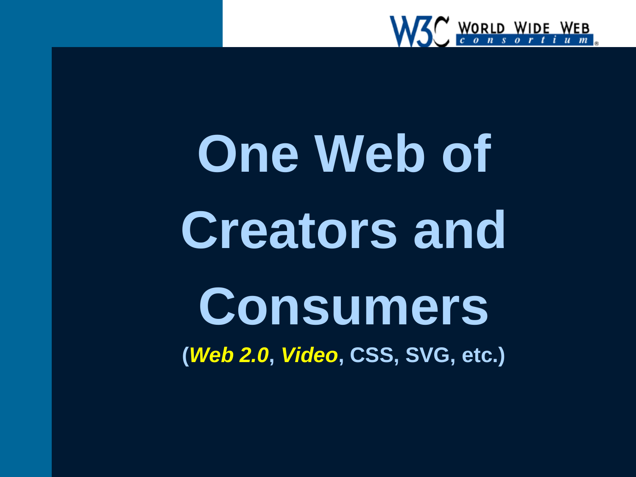

## **One Web of Creators and Consumers (***Web 2.0***,** *Video***, CSS, SVG, etc.)**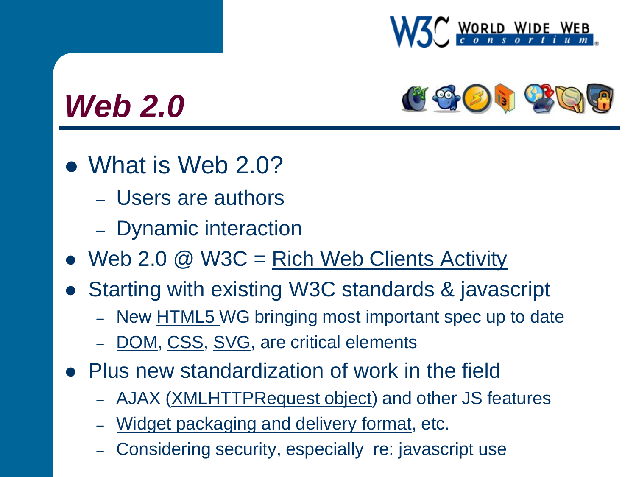



#### *Web 2.0*

- What is Web 2.0?
	- Users are authors
	- Dynamic interaction
- $\bullet$  Web 2.0 @ W3C = [Rich Web Clients Activity](http://www.w3.org/2006/rwc/Activity.html)
- Starting with existing W3C standards & javascript
	- New [HTML5](http://www.w3.org/html/) WG bringing most important spec up to date
	- [DOM,](http://www.w3.org/DOM/) [CSS](http://www.w3.org/Style/CSS/), [SVG,](http://www.w3.org/Graphics/SVG/) are critical elements
- Plus new standardization of work in the field
	- AJAX [\(XMLHTTPRequest object](http://www.w3.org/TR/XMLHttpRequest/)) and other JS features
	- [Widget packaging and delivery format](http://www.w3.org/TR/WAPF-REQ/), etc.
	- Considering security, especially re: javascript use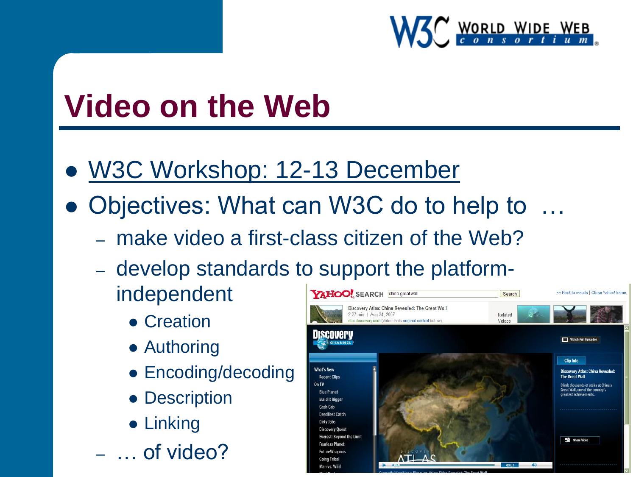

#### **Video on the Web**

- [W3C Workshop: 12-13 December](http://www.w3.org/2007/08/video/)
- Objectives: What can W3C do to help to …
	- make video a first-class citizen of the Web?
	- develop standards to support the platformindependent **YAHOO!** SEARCH China great wall Search
		- Creation
		- Authoring
		- Encoding/decoding
		- Description
		- **•** Linking
	- … of video?

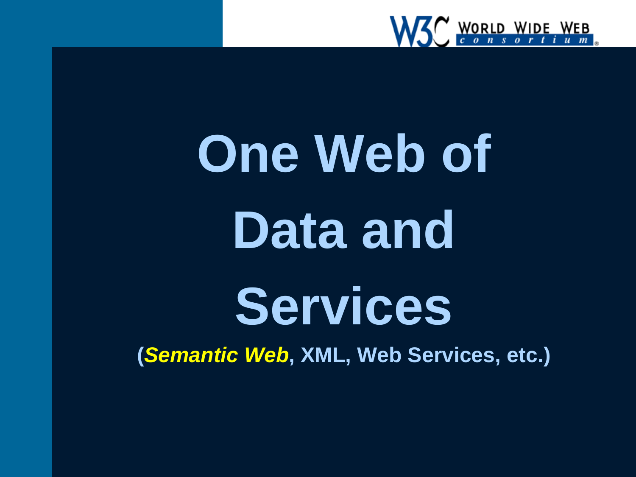

# **One Web of Data and Services**

**(***Semantic Web***, XML, Web Services, etc.)**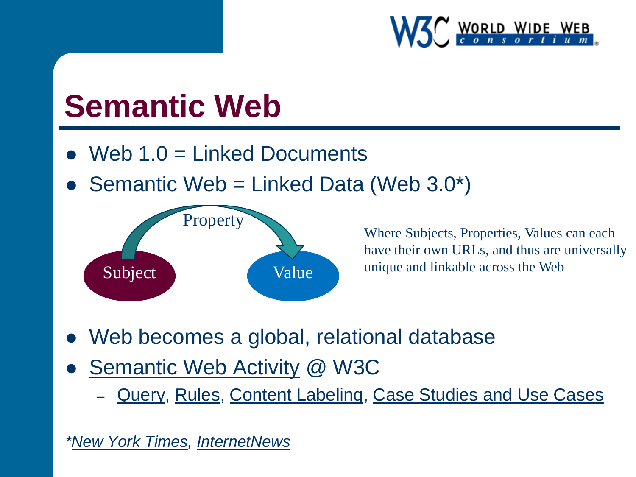

#### **Semantic Web**

- Web 1.0 = Linked Documents
- Semantic Web = Linked Data (Web 3.0\*)



Where Subjects, Properties, Values can each have their own URLs, and thus are universally unique and linkable across the Web

- Web becomes a global, relational database
- [Semantic Web Activity](http://www.w3.org/2001/sw/) @ W3C
	- [Query](http://www.w3.org/2001/sw/DataAccess/), [Rules](http://www.w3.org/2005/rules/wg), [Content Labeling](http://www.w3.org/2007/powder/), [Case Studies and Use Cases](http://www.w3.org/2001/sw/sweo/public/UseCases/)

*\*[New York Times,](http://www.nytimes.com/2006/11/12/business/12web.html?ex=1320987600&en=254d697964cedc62&ei=5088) [InternetNews](http://www.internetnews.com/xSP/article.php/3692646)*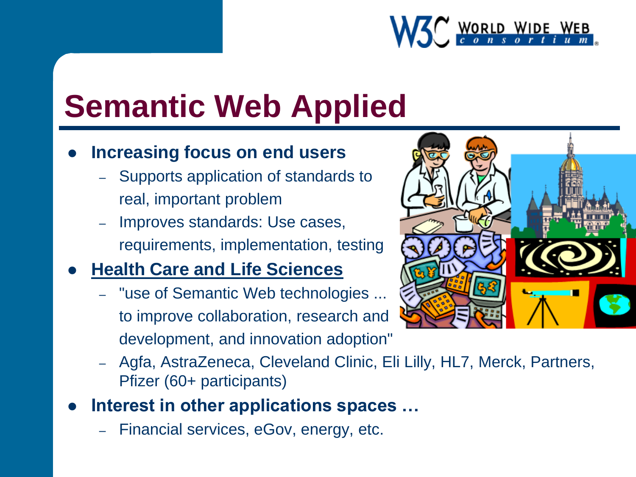

## **Semantic Web Applied**

#### **Increasing focus on end users**

- Supports application of standards to real, important problem
- Improves standards: Use cases, requirements, implementation, testing

#### **[Health Care and Life Sciences](http://www.w3.org/2001/sw/hcls/)**

- "use of Semantic Web technologies ... to improve collaboration, research and development, and innovation adoption"
- Agfa, AstraZeneca, Cleveland Clinic, Eli Lilly, HL7, Merck, Partners, Pfizer (60+ participants)
- **Interest in other applications spaces …**
	- Financial services, eGov, energy, etc.

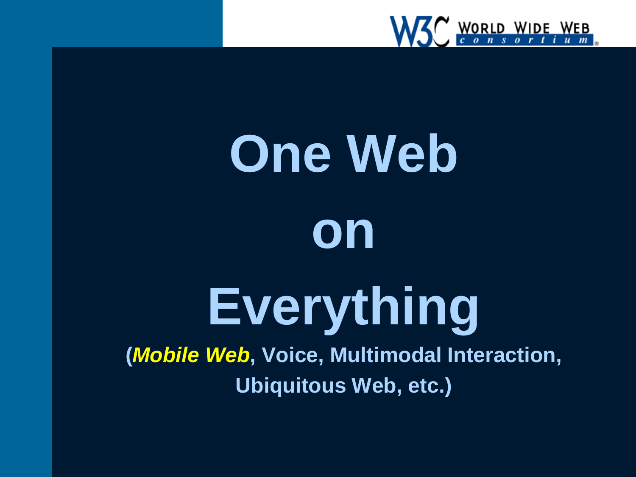

## **One Web on Everything (***Mobile Web***, Voice, Multimodal Interaction, Ubiquitous Web, etc.)**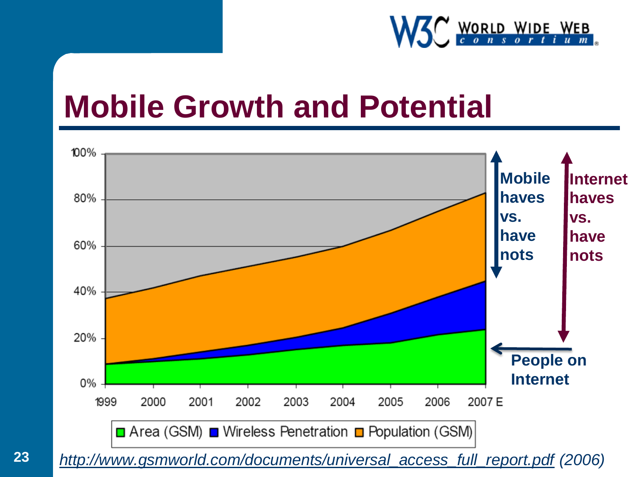

#### **Mobile Growth and Potential**



*[http://www.gsmworld.com/documents/universal\\_access\\_full\\_report.pdf](http://www.gsmworld.com/documents/universal_access_full_report.pdf) (2006)* **23**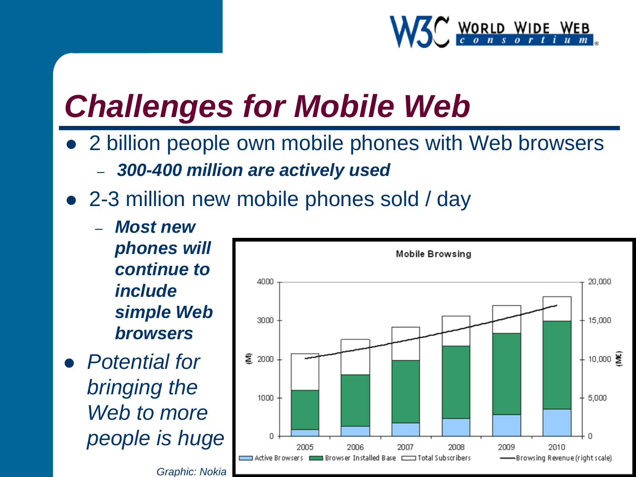

### *Challenges for Mobile Web*

- 2 billion people own mobile phones with Web browsers – *300-400 million are actively used*
- 2-3 million new mobile phones sold / day
	- *Most new phones will continue to include simple Web browsers*
- *Potential for bringing the Web to more people is huge*

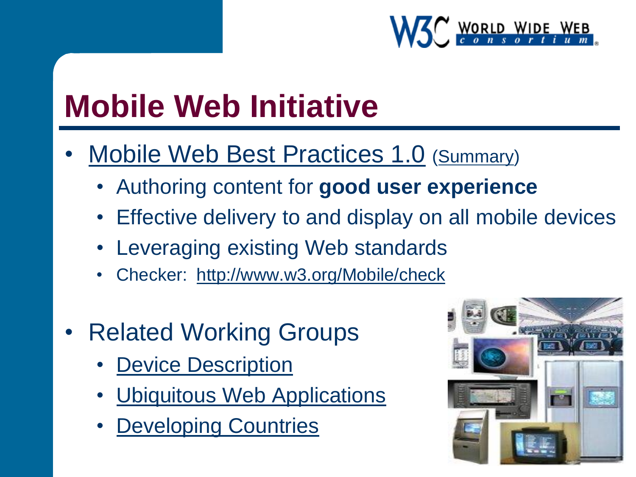

## **Mobile Web Initiative**

- [Mobile Web Best Practices 1.0](http://www.w3.org/TR/mobile-bp/) [\(Summary\)](http://www.w3.org/TR/mobile-bp/summary)
	- Authoring content for **good user experience**
	- Effective delivery to and display on all mobile devices
	- Leveraging existing Web standards
	- Checker: <http://www.w3.org/Mobile/check>
- **Related Working Groups** 
	- **[Device Description](http://www.w3.org/2005/MWI/DDWG/)**
	- [Ubiquitous Web Applications](http://www.w3.org/2007/uwa/)
	- **[Developing Countries](http://www.w3.org/2006/12/digital_divide/public.html)**

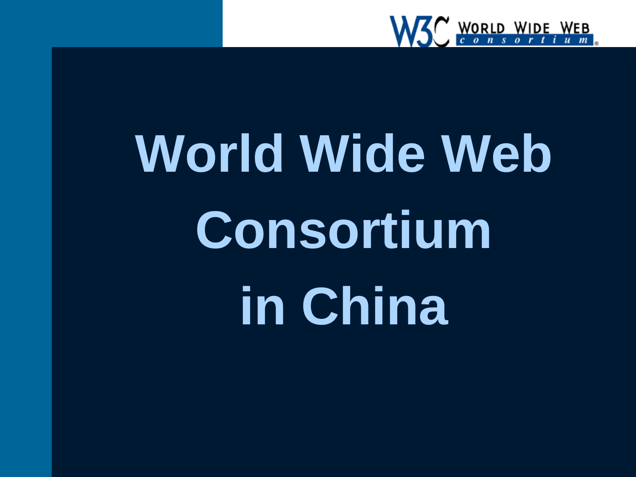

# **World Wide Web Consortium in China**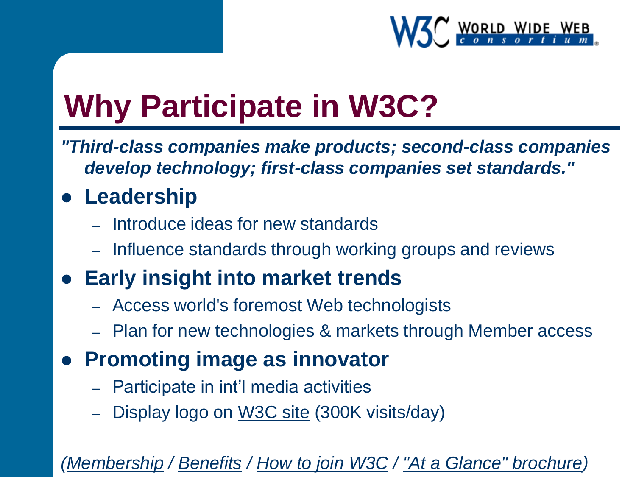

## **Why Participate in W3C?**

*"Third-class companies make products; second-class companies develop technology; first-class companies set standards."*

#### **Leadership**

- Introduce ideas for new standards
- Influence standards through working groups and reviews

#### **Early insight into market trends**

- Access world's foremost Web technologists
- Plan for new technologies & markets through Member access

#### **Promoting image as innovator**

- Participate in int'l media activities
- Display logo on [W3C site](http://www.w3.org/) (300K visits/day)

#### *[\(Membership](http://www.w3.org/Consortium/membership) / [Benefits](http://www.w3.org/Consortium/membership-benefits) / [How to join W3C](http://www.w3.org/Consortium/join) / ["At a Glance" brochure\)](http://www.w3.org/2005/05/At-a-Glance.pdf)*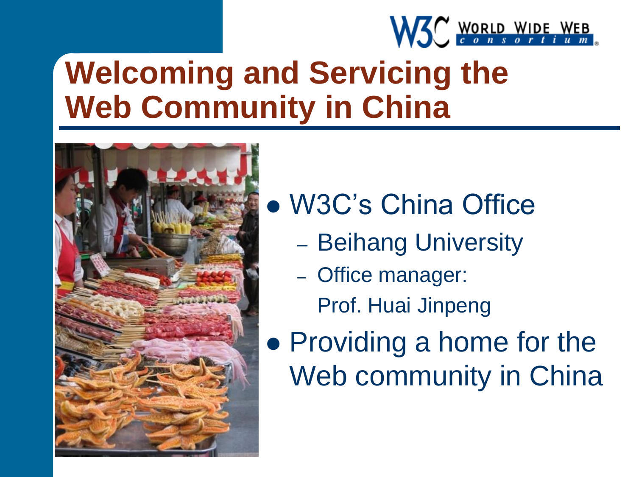

## **Welcoming and Servicing the Web Community in China**



W3C's China Office

- Beihang University
- Office manager: Prof. Huai Jinpeng
- Providing a home for the Web community in China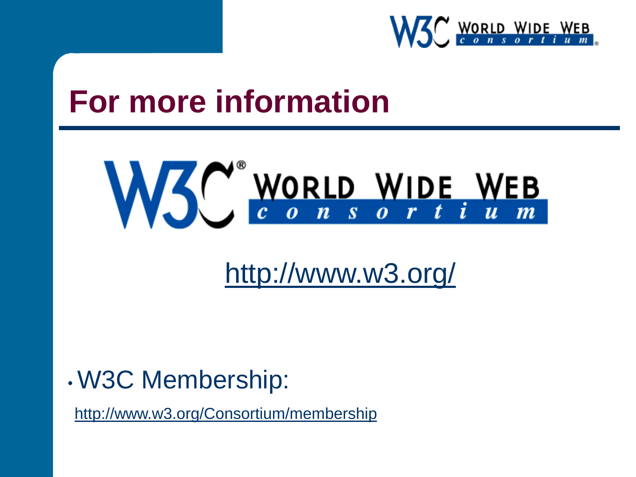

#### **For more information**



<http://www.w3.org/>

#### • W3C Membership:

<http://www.w3.org/Consortium/membership>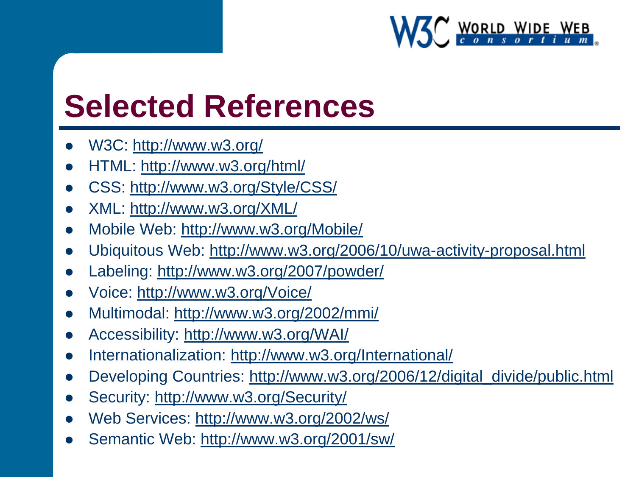

#### **Selected References**

- W3C:<http://www.w3.org/>
- HTML:<http://www.w3.org/html/>
- CSS:<http://www.w3.org/Style/CSS/>
- XML:<http://www.w3.org/XML/>
- Mobile Web:<http://www.w3.org/Mobile/>
- Ubiquitous Web:<http://www.w3.org/2006/10/uwa-activity-proposal.html>
- Labeling: <http://www.w3.org/2007/powder/>
- Voice:<http://www.w3.org/Voice/>
- Multimodal: <http://www.w3.org/2002/mmi/>
- Accessibility: <http://www.w3.org/WAI/>
- Internationalization: <http://www.w3.org/International/>
- Developing Countries: [http://www.w3.org/2006/12/digital\\_divide/public.html](http://www.w3.org/2006/12/digital_divide/public.html)
- Security: <http://www.w3.org/Security/>
- Web Services: <http://www.w3.org/2002/ws/>
- Semantic Web:<http://www.w3.org/2001/sw/>